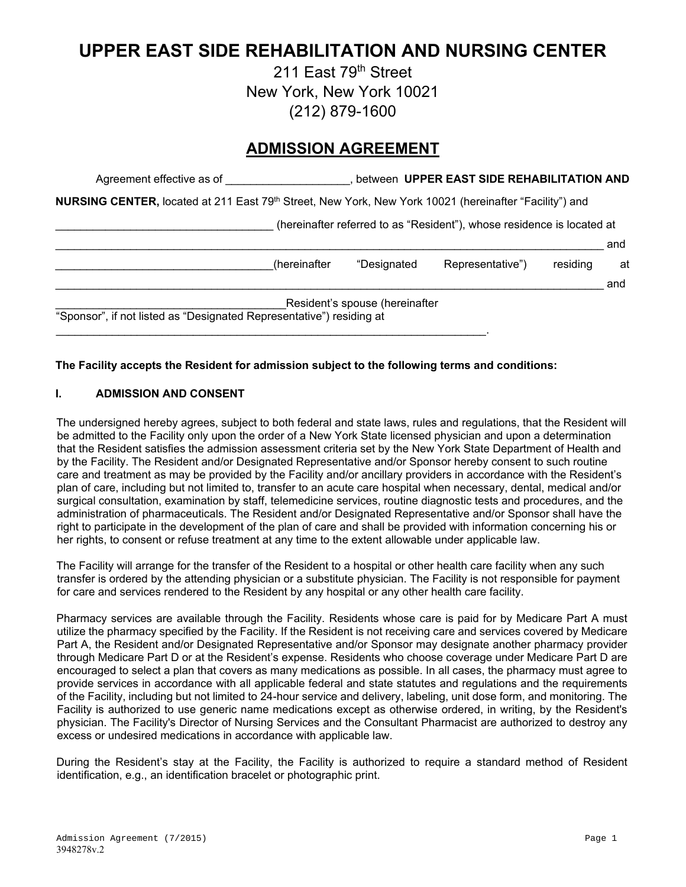# **UPPER EAST SIDE REHABILITATION AND NURSING CENTER**

211 East 79<sup>th</sup> Street New York, New York 10021 (212) 879-1600

# **ADMISSION AGREEMENT**

|                                                                      |                                               | and                                                                                                                                                                                                                                              |
|----------------------------------------------------------------------|-----------------------------------------------|--------------------------------------------------------------------------------------------------------------------------------------------------------------------------------------------------------------------------------------------------|
| Representative")                                                     | residing                                      | at                                                                                                                                                                                                                                               |
|                                                                      |                                               | and                                                                                                                                                                                                                                              |
|                                                                      |                                               |                                                                                                                                                                                                                                                  |
|                                                                      |                                               |                                                                                                                                                                                                                                                  |
| "Sponsor", if not listed as "Designated Representative") residing at | "Designated<br>Resident's spouse (hereinafter | between UPPER EAST SIDE REHABILITATION AND<br><b>NURSING CENTER, located at 211 East 79<sup>th</sup> Street, New York, New York 10021 (hereinafter "Facility") and</b><br>(hereinafter referred to as "Resident"), whose residence is located at |

#### **The Facility accepts the Resident for admission subject to the following terms and conditions:**

#### **I. ADMISSION AND CONSENT**

The undersigned hereby agrees, subject to both federal and state laws, rules and regulations, that the Resident will be admitted to the Facility only upon the order of a New York State licensed physician and upon a determination that the Resident satisfies the admission assessment criteria set by the New York State Department of Health and by the Facility. The Resident and/or Designated Representative and/or Sponsor hereby consent to such routine care and treatment as may be provided by the Facility and/or ancillary providers in accordance with the Resident's plan of care, including but not limited to, transfer to an acute care hospital when necessary, dental, medical and/or surgical consultation, examination by staff, telemedicine services, routine diagnostic tests and procedures, and the administration of pharmaceuticals. The Resident and/or Designated Representative and/or Sponsor shall have the right to participate in the development of the plan of care and shall be provided with information concerning his or her rights, to consent or refuse treatment at any time to the extent allowable under applicable law.

The Facility will arrange for the transfer of the Resident to a hospital or other health care facility when any such transfer is ordered by the attending physician or a substitute physician. The Facility is not responsible for payment for care and services rendered to the Resident by any hospital or any other health care facility.

Pharmacy services are available through the Facility. Residents whose care is paid for by Medicare Part A must utilize the pharmacy specified by the Facility. If the Resident is not receiving care and services covered by Medicare Part A, the Resident and/or Designated Representative and/or Sponsor may designate another pharmacy provider through Medicare Part D or at the Resident's expense. Residents who choose coverage under Medicare Part D are encouraged to select a plan that covers as many medications as possible. In all cases, the pharmacy must agree to provide services in accordance with all applicable federal and state statutes and regulations and the requirements of the Facility, including but not limited to 24-hour service and delivery, labeling, unit dose form, and monitoring. The Facility is authorized to use generic name medications except as otherwise ordered, in writing, by the Resident's physician. The Facility's Director of Nursing Services and the Consultant Pharmacist are authorized to destroy any excess or undesired medications in accordance with applicable law.

During the Resident's stay at the Facility, the Facility is authorized to require a standard method of Resident identification, e.g., an identification bracelet or photographic print.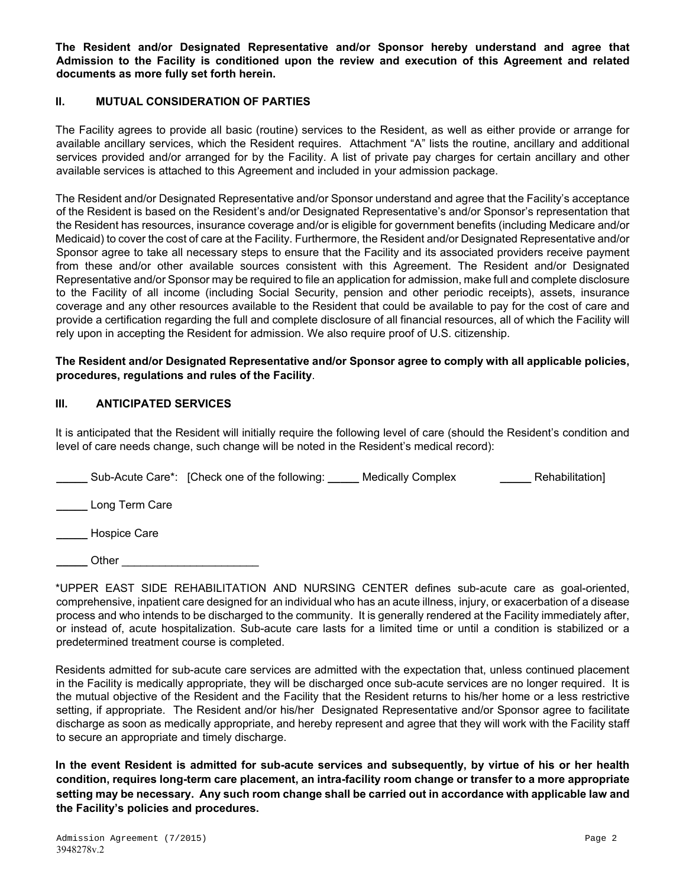**The Resident and/or Designated Representative and/or Sponsor hereby understand and agree that Admission to the Facility is conditioned upon the review and execution of this Agreement and related documents as more fully set forth herein.**

#### **II. MUTUAL CONSIDERATION OF PARTIES**

The Facility agrees to provide all basic (routine) services to the Resident, as well as either provide or arrange for available ancillary services, which the Resident requires. Attachment "A" lists the routine, ancillary and additional services provided and/or arranged for by the Facility. A list of private pay charges for certain ancillary and other available services is attached to this Agreement and included in your admission package.

The Resident and/or Designated Representative and/or Sponsor understand and agree that the Facility's acceptance of the Resident is based on the Resident's and/or Designated Representative's and/or Sponsor's representation that the Resident has resources, insurance coverage and/or is eligible for government benefits (including Medicare and/or Medicaid) to cover the cost of care at the Facility. Furthermore, the Resident and/or Designated Representative and/or Sponsor agree to take all necessary steps to ensure that the Facility and its associated providers receive payment from these and/or other available sources consistent with this Agreement. The Resident and/or Designated Representative and/or Sponsor may be required to file an application for admission, make full and complete disclosure to the Facility of all income (including Social Security, pension and other periodic receipts), assets, insurance coverage and any other resources available to the Resident that could be available to pay for the cost of care and provide a certification regarding the full and complete disclosure of all financial resources, all of which the Facility will rely upon in accepting the Resident for admission. We also require proof of U.S. citizenship.

#### **The Resident and/or Designated Representative and/or Sponsor agree to comply with all applicable policies, procedures, regulations and rules of the Facility**.

#### **III. ANTICIPATED SERVICES**

It is anticipated that the Resident will initially require the following level of care (should the Resident's condition and level of care needs change, such change will be noted in the Resident's medical record):

|                | Sub-Acute Care*: [Check one of the following: | <b>Medically Complex</b> | Rehabilitation] |
|----------------|-----------------------------------------------|--------------------------|-----------------|
| Long Term Care |                                               |                          |                 |
| Hospice Care   |                                               |                          |                 |

**\_\_\_\_\_** Other \_\_\_\_\_\_\_\_\_\_\_\_\_\_\_\_\_\_\_\_\_\_

\*UPPER EAST SIDE REHABILITATION AND NURSING CENTER defines sub-acute care as goal-oriented, comprehensive, inpatient care designed for an individual who has an acute illness, injury, or exacerbation of a disease process and who intends to be discharged to the community. It is generally rendered at the Facility immediately after, or instead of, acute hospitalization. Sub-acute care lasts for a limited time or until a condition is stabilized or a predetermined treatment course is completed.

Residents admitted for sub-acute care services are admitted with the expectation that, unless continued placement in the Facility is medically appropriate, they will be discharged once sub-acute services are no longer required. It is the mutual objective of the Resident and the Facility that the Resident returns to his/her home or a less restrictive setting, if appropriate. The Resident and/or his/her Designated Representative and/or Sponsor agree to facilitate discharge as soon as medically appropriate, and hereby represent and agree that they will work with the Facility staff to secure an appropriate and timely discharge.

**In the event Resident is admitted for sub-acute services and subsequently, by virtue of his or her health condition, requires long-term care placement, an intra-facility room change or transfer to a more appropriate setting may be necessary. Any such room change shall be carried out in accordance with applicable law and the Facility's policies and procedures.**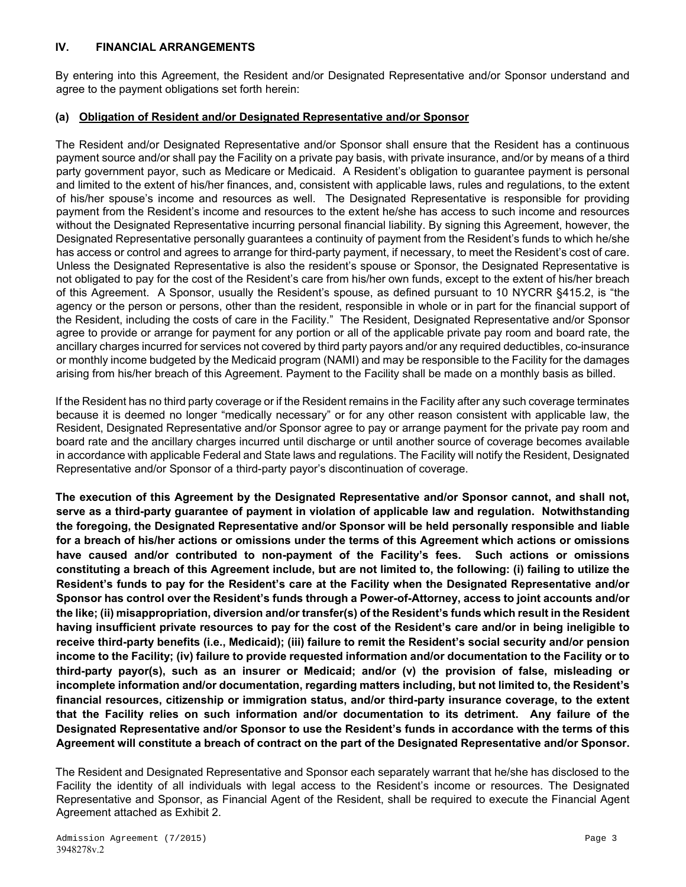#### **IV. FINANCIAL ARRANGEMENTS**

By entering into this Agreement, the Resident and/or Designated Representative and/or Sponsor understand and agree to the payment obligations set forth herein:

#### **(a) Obligation of Resident and/or Designated Representative and/or Sponsor**

The Resident and/or Designated Representative and/or Sponsor shall ensure that the Resident has a continuous payment source and/or shall pay the Facility on a private pay basis, with private insurance, and/or by means of a third party government payor, such as Medicare or Medicaid. A Resident's obligation to guarantee payment is personal and limited to the extent of his/her finances, and, consistent with applicable laws, rules and regulations, to the extent of his/her spouse's income and resources as well. The Designated Representative is responsible for providing payment from the Resident's income and resources to the extent he/she has access to such income and resources without the Designated Representative incurring personal financial liability. By signing this Agreement, however, the Designated Representative personally guarantees a continuity of payment from the Resident's funds to which he/she has access or control and agrees to arrange for third-party payment, if necessary, to meet the Resident's cost of care. Unless the Designated Representative is also the resident's spouse or Sponsor, the Designated Representative is not obligated to pay for the cost of the Resident's care from his/her own funds, except to the extent of his/her breach of this Agreement. A Sponsor, usually the Resident's spouse, as defined pursuant to 10 NYCRR §415.2, is "the agency or the person or persons, other than the resident, responsible in whole or in part for the financial support of the Resident, including the costs of care in the Facility." The Resident, Designated Representative and/or Sponsor agree to provide or arrange for payment for any portion or all of the applicable private pay room and board rate, the ancillary charges incurred for services not covered by third party payors and/or any required deductibles, co-insurance or monthly income budgeted by the Medicaid program (NAMI) and may be responsible to the Facility for the damages arising from his/her breach of this Agreement. Payment to the Facility shall be made on a monthly basis as billed.

If the Resident has no third party coverage or if the Resident remains in the Facility after any such coverage terminates because it is deemed no longer "medically necessary" or for any other reason consistent with applicable law, the Resident, Designated Representative and/or Sponsor agree to pay or arrange payment for the private pay room and board rate and the ancillary charges incurred until discharge or until another source of coverage becomes available in accordance with applicable Federal and State laws and regulations. The Facility will notify the Resident, Designated Representative and/or Sponsor of a third-party payor's discontinuation of coverage.

**The execution of this Agreement by the Designated Representative and/or Sponsor cannot, and shall not, serve as a third-party guarantee of payment in violation of applicable law and regulation. Notwithstanding the foregoing, the Designated Representative and/or Sponsor will be held personally responsible and liable for a breach of his/her actions or omissions under the terms of this Agreement which actions or omissions have caused and/or contributed to non-payment of the Facility's fees. Such actions or omissions constituting a breach of this Agreement include, but are not limited to, the following: (i) failing to utilize the Resident's funds to pay for the Resident's care at the Facility when the Designated Representative and/or Sponsor has control over the Resident's funds through a Power-of-Attorney, access to joint accounts and/or the like; (ii) misappropriation, diversion and/or transfer(s) of the Resident's funds which result in the Resident having insufficient private resources to pay for the cost of the Resident's care and/or in being ineligible to receive third-party benefits (i.e., Medicaid); (iii) failure to remit the Resident's social security and/or pension income to the Facility; (iv) failure to provide requested information and/or documentation to the Facility or to third-party payor(s), such as an insurer or Medicaid; and/or (v) the provision of false, misleading or incomplete information and/or documentation, regarding matters including, but not limited to, the Resident's financial resources, citizenship or immigration status, and/or third-party insurance coverage, to the extent that the Facility relies on such information and/or documentation to its detriment. Any failure of the Designated Representative and/or Sponsor to use the Resident's funds in accordance with the terms of this Agreement will constitute a breach of contract on the part of the Designated Representative and/or Sponsor.** 

The Resident and Designated Representative and Sponsor each separately warrant that he/she has disclosed to the Facility the identity of all individuals with legal access to the Resident's income or resources. The Designated Representative and Sponsor, as Financial Agent of the Resident, shall be required to execute the Financial Agent Agreement attached as Exhibit 2.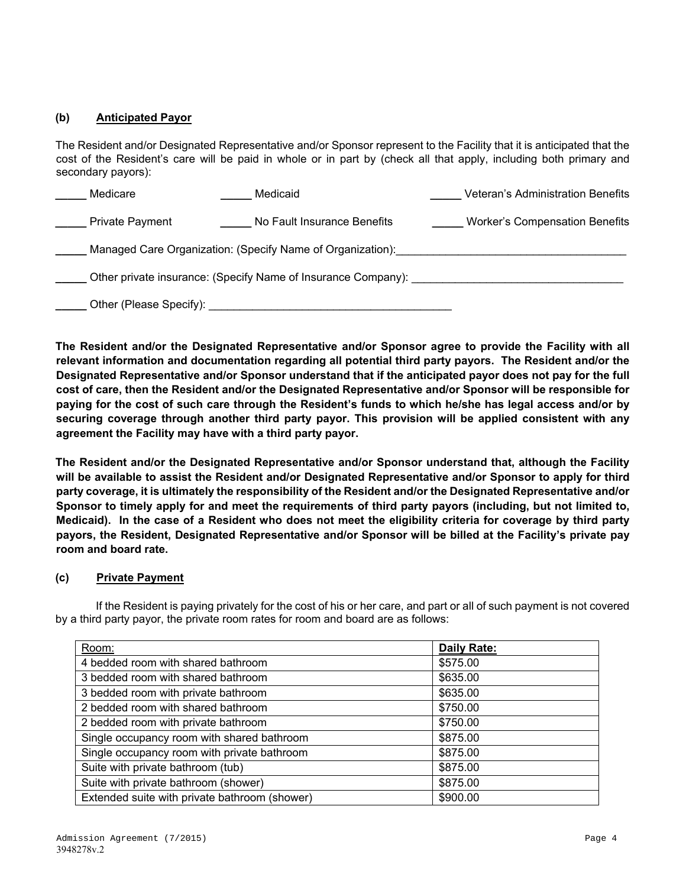### **(b) Anticipated Payor**

The Resident and/or Designated Representative and/or Sponsor represent to the Facility that it is anticipated that the cost of the Resident's care will be paid in whole or in part by (check all that apply, including both primary and secondary payors):

| Medicare                                                      | Medicaid                    | <b>Veteran's Administration Benefits</b> |  |
|---------------------------------------------------------------|-----------------------------|------------------------------------------|--|
| <b>Private Payment</b>                                        | No Fault Insurance Benefits | <b>Worker's Compensation Benefits</b>    |  |
| Managed Care Organization: (Specify Name of Organization):    |                             |                                          |  |
| Other private insurance: (Specify Name of Insurance Company): |                             |                                          |  |
| Other (Please Specify):                                       |                             |                                          |  |

**The Resident and/or the Designated Representative and/or Sponsor agree to provide the Facility with all relevant information and documentation regarding all potential third party payors. The Resident and/or the Designated Representative and/or Sponsor understand that if the anticipated payor does not pay for the full cost of care, then the Resident and/or the Designated Representative and/or Sponsor will be responsible for paying for the cost of such care through the Resident's funds to which he/she has legal access and/or by securing coverage through another third party payor. This provision will be applied consistent with any agreement the Facility may have with a third party payor.** 

**The Resident and/or the Designated Representative and/or Sponsor understand that, although the Facility will be available to assist the Resident and/or Designated Representative and/or Sponsor to apply for third party coverage, it is ultimately the responsibility of the Resident and/or the Designated Representative and/or Sponsor to timely apply for and meet the requirements of third party payors (including, but not limited to, Medicaid). In the case of a Resident who does not meet the eligibility criteria for coverage by third party payors, the Resident, Designated Representative and/or Sponsor will be billed at the Facility's private pay room and board rate.** 

#### **(c) Private Payment**

If the Resident is paying privately for the cost of his or her care, and part or all of such payment is not covered by a third party payor, the private room rates for room and board are as follows:

| Room:                                         | Daily Rate: |
|-----------------------------------------------|-------------|
| 4 bedded room with shared bathroom            | \$575.00    |
| 3 bedded room with shared bathroom            | \$635.00    |
| 3 bedded room with private bathroom           | \$635.00    |
| 2 bedded room with shared bathroom            | \$750.00    |
| 2 bedded room with private bathroom           | \$750.00    |
| Single occupancy room with shared bathroom    | \$875.00    |
| Single occupancy room with private bathroom   | \$875.00    |
| Suite with private bathroom (tub)             | \$875.00    |
| Suite with private bathroom (shower)          | \$875.00    |
| Extended suite with private bathroom (shower) | \$900.00    |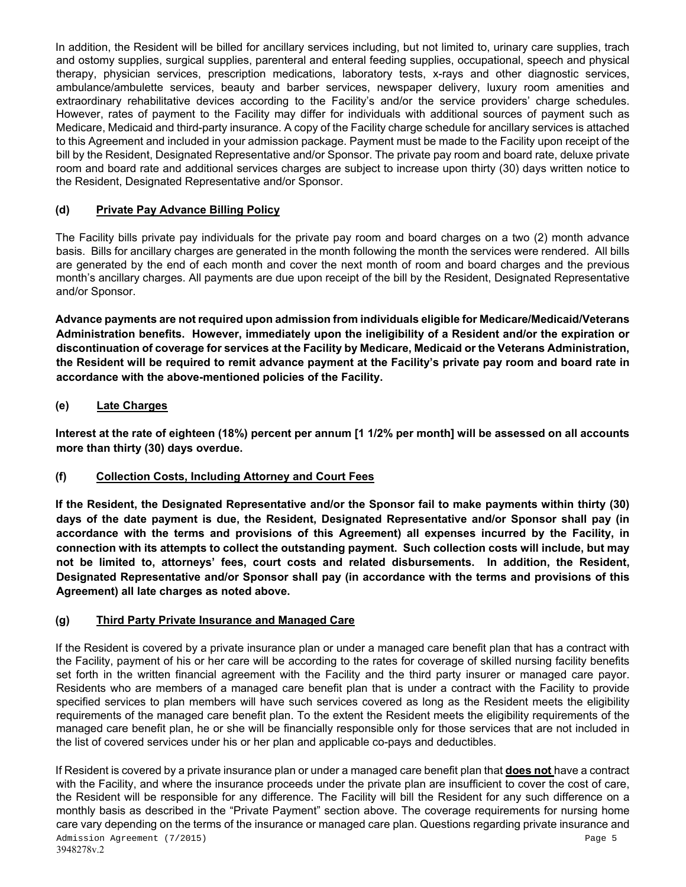In addition, the Resident will be billed for ancillary services including, but not limited to, urinary care supplies, trach and ostomy supplies, surgical supplies, parenteral and enteral feeding supplies, occupational, speech and physical therapy, physician services, prescription medications, laboratory tests, x-rays and other diagnostic services, ambulance/ambulette services, beauty and barber services, newspaper delivery, luxury room amenities and extraordinary rehabilitative devices according to the Facility's and/or the service providers' charge schedules. However, rates of payment to the Facility may differ for individuals with additional sources of payment such as Medicare, Medicaid and third-party insurance. A copy of the Facility charge schedule for ancillary services is attached to this Agreement and included in your admission package. Payment must be made to the Facility upon receipt of the bill by the Resident, Designated Representative and/or Sponsor. The private pay room and board rate, deluxe private room and board rate and additional services charges are subject to increase upon thirty (30) days written notice to the Resident, Designated Representative and/or Sponsor.

# **(d) Private Pay Advance Billing Policy**

The Facility bills private pay individuals for the private pay room and board charges on a two (2) month advance basis. Bills for ancillary charges are generated in the month following the month the services were rendered. All bills are generated by the end of each month and cover the next month of room and board charges and the previous month's ancillary charges. All payments are due upon receipt of the bill by the Resident, Designated Representative and/or Sponsor.

**Advance payments are not required upon admission from individuals eligible for Medicare/Medicaid/Veterans Administration benefits. However, immediately upon the ineligibility of a Resident and/or the expiration or discontinuation of coverage for services at the Facility by Medicare, Medicaid or the Veterans Administration, the Resident will be required to remit advance payment at the Facility's private pay room and board rate in accordance with the above-mentioned policies of the Facility.**

### **(e) Late Charges**

**Interest at the rate of eighteen (18%) percent per annum [1 1/2% per month] will be assessed on all accounts more than thirty (30) days overdue.** 

#### **(f) Collection Costs, Including Attorney and Court Fees**

**If the Resident, the Designated Representative and/or the Sponsor fail to make payments within thirty (30) days of the date payment is due, the Resident, Designated Representative and/or Sponsor shall pay (in accordance with the terms and provisions of this Agreement) all expenses incurred by the Facility, in connection with its attempts to collect the outstanding payment. Such collection costs will include, but may not be limited to, attorneys' fees, court costs and related disbursements. In addition, the Resident, Designated Representative and/or Sponsor shall pay (in accordance with the terms and provisions of this Agreement) all late charges as noted above.**

#### **(g) Third Party Private Insurance and Managed Care**

If the Resident is covered by a private insurance plan or under a managed care benefit plan that has a contract with the Facility, payment of his or her care will be according to the rates for coverage of skilled nursing facility benefits set forth in the written financial agreement with the Facility and the third party insurer or managed care payor. Residents who are members of a managed care benefit plan that is under a contract with the Facility to provide specified services to plan members will have such services covered as long as the Resident meets the eligibility requirements of the managed care benefit plan. To the extent the Resident meets the eligibility requirements of the managed care benefit plan, he or she will be financially responsible only for those services that are not included in the list of covered services under his or her plan and applicable co-pays and deductibles.

If Resident is covered by a private insurance plan or under a managed care benefit plan that **does not** have a contract with the Facility, and where the insurance proceeds under the private plan are insufficient to cover the cost of care, the Resident will be responsible for any difference. The Facility will bill the Resident for any such difference on a monthly basis as described in the "Private Payment" section above. The coverage requirements for nursing home care vary depending on the terms of the insurance or managed care plan. Questions regarding private insurance and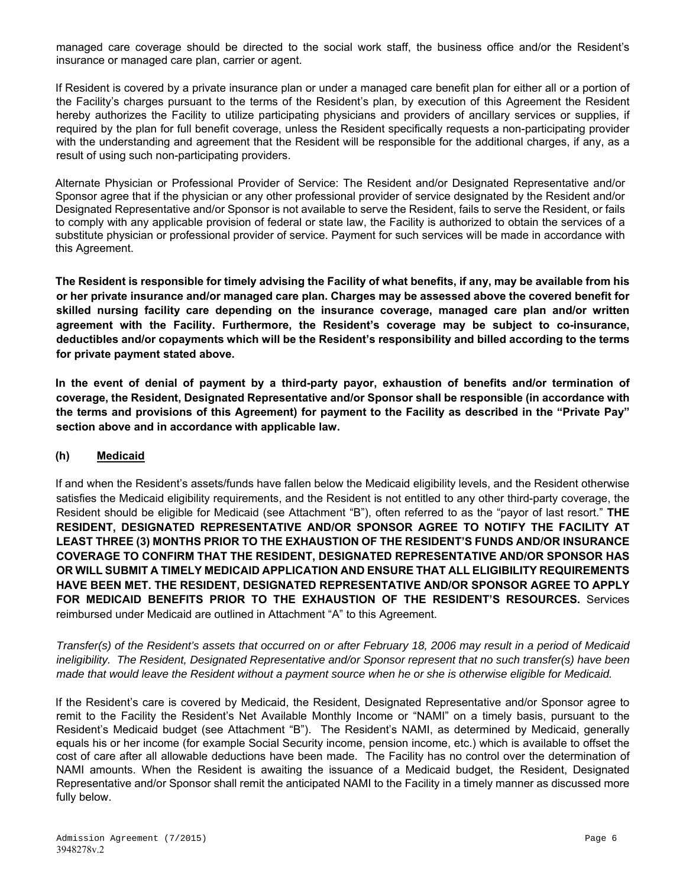managed care coverage should be directed to the social work staff, the business office and/or the Resident's insurance or managed care plan, carrier or agent.

If Resident is covered by a private insurance plan or under a managed care benefit plan for either all or a portion of the Facility's charges pursuant to the terms of the Resident's plan, by execution of this Agreement the Resident hereby authorizes the Facility to utilize participating physicians and providers of ancillary services or supplies, if required by the plan for full benefit coverage, unless the Resident specifically requests a non-participating provider with the understanding and agreement that the Resident will be responsible for the additional charges, if any, as a result of using such non-participating providers.

Alternate Physician or Professional Provider of Service: The Resident and/or Designated Representative and/or Sponsor agree that if the physician or any other professional provider of service designated by the Resident and/or Designated Representative and/or Sponsor is not available to serve the Resident, fails to serve the Resident, or fails to comply with any applicable provision of federal or state law, the Facility is authorized to obtain the services of a substitute physician or professional provider of service. Payment for such services will be made in accordance with this Agreement.

**The Resident is responsible for timely advising the Facility of what benefits, if any, may be available from his or her private insurance and/or managed care plan. Charges may be assessed above the covered benefit for skilled nursing facility care depending on the insurance coverage, managed care plan and/or written agreement with the Facility. Furthermore, the Resident's coverage may be subject to co-insurance, deductibles and/or copayments which will be the Resident's responsibility and billed according to the terms for private payment stated above.** 

**In the event of denial of payment by a third-party payor, exhaustion of benefits and/or termination of coverage, the Resident, Designated Representative and/or Sponsor shall be responsible (in accordance with the terms and provisions of this Agreement) for payment to the Facility as described in the "Private Pay" section above and in accordance with applicable law.** 

#### **(h) Medicaid**

If and when the Resident's assets/funds have fallen below the Medicaid eligibility levels, and the Resident otherwise satisfies the Medicaid eligibility requirements, and the Resident is not entitled to any other third-party coverage, the Resident should be eligible for Medicaid (see Attachment "B"), often referred to as the "payor of last resort." **THE RESIDENT, DESIGNATED REPRESENTATIVE AND/OR SPONSOR AGREE TO NOTIFY THE FACILITY AT LEAST THREE (3) MONTHS PRIOR TO THE EXHAUSTION OF THE RESIDENT'S FUNDS AND/OR INSURANCE COVERAGE TO CONFIRM THAT THE RESIDENT, DESIGNATED REPRESENTATIVE AND/OR SPONSOR HAS OR WILL SUBMIT A TIMELY MEDICAID APPLICATION AND ENSURE THAT ALL ELIGIBILITY REQUIREMENTS HAVE BEEN MET. THE RESIDENT, DESIGNATED REPRESENTATIVE AND/OR SPONSOR AGREE TO APPLY FOR MEDICAID BENEFITS PRIOR TO THE EXHAUSTION OF THE RESIDENT'S RESOURCES.** Services reimbursed under Medicaid are outlined in Attachment "A" to this Agreement.

*Transfer(s) of the Resident's assets that occurred on or after February 18, 2006 may result in a period of Medicaid ineligibility. The Resident, Designated Representative and/or Sponsor represent that no such transfer(s) have been made that would leave the Resident without a payment source when he or she is otherwise eligible for Medicaid.* 

If the Resident's care is covered by Medicaid, the Resident, Designated Representative and/or Sponsor agree to remit to the Facility the Resident's Net Available Monthly Income or "NAMI" on a timely basis, pursuant to the Resident's Medicaid budget (see Attachment "B"). The Resident's NAMI, as determined by Medicaid, generally equals his or her income (for example Social Security income, pension income, etc.) which is available to offset the cost of care after all allowable deductions have been made. The Facility has no control over the determination of NAMI amounts. When the Resident is awaiting the issuance of a Medicaid budget, the Resident, Designated Representative and/or Sponsor shall remit the anticipated NAMI to the Facility in a timely manner as discussed more fully below.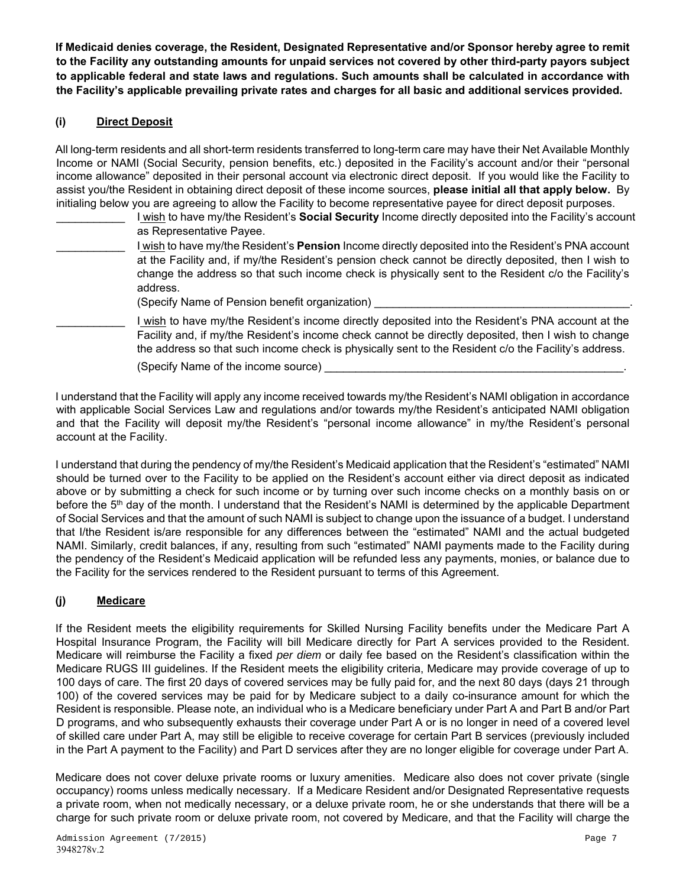**If Medicaid denies coverage, the Resident, Designated Representative and/or Sponsor hereby agree to remit to the Facility any outstanding amounts for unpaid services not covered by other third-party payors subject to applicable federal and state laws and regulations. Such amounts shall be calculated in accordance with the Facility's applicable prevailing private rates and charges for all basic and additional services provided.** 

### **(i) Direct Deposit**

All long-term residents and all short-term residents transferred to long-term care may have their Net Available Monthly Income or NAMI (Social Security, pension benefits, etc.) deposited in the Facility's account and/or their "personal income allowance" deposited in their personal account via electronic direct deposit. If you would like the Facility to assist you/the Resident in obtaining direct deposit of these income sources, **please initial all that apply below.** By initialing below you are agreeing to allow the Facility to become representative payee for direct deposit purposes.

- \_\_\_\_\_\_\_\_\_\_\_ I wish to have my/the Resident's **Social Security** Income directly deposited into the Facility's account as Representative Payee.
- \_\_\_\_\_\_\_\_\_\_\_ I wish to have my/the Resident's **Pension** Income directly deposited into the Resident's PNA account at the Facility and, if my/the Resident's pension check cannot be directly deposited, then I wish to change the address so that such income check is physically sent to the Resident c/o the Facility's address.
	- (Specify Name of Pension benefit organization)
- I wish to have my/the Resident's income directly deposited into the Resident's PNA account at the Facility and, if my/the Resident's income check cannot be directly deposited, then I wish to change the address so that such income check is physically sent to the Resident c/o the Facility's address.
	- (Specify Name of the income source)

I understand that the Facility will apply any income received towards my/the Resident's NAMI obligation in accordance with applicable Social Services Law and regulations and/or towards my/the Resident's anticipated NAMI obligation and that the Facility will deposit my/the Resident's "personal income allowance" in my/the Resident's personal account at the Facility.

I understand that during the pendency of my/the Resident's Medicaid application that the Resident's "estimated" NAMI should be turned over to the Facility to be applied on the Resident's account either via direct deposit as indicated above or by submitting a check for such income or by turning over such income checks on a monthly basis on or before the 5<sup>th</sup> day of the month. I understand that the Resident's NAMI is determined by the applicable Department of Social Services and that the amount of such NAMI is subject to change upon the issuance of a budget. I understand that I/the Resident is/are responsible for any differences between the "estimated" NAMI and the actual budgeted NAMI. Similarly, credit balances, if any, resulting from such "estimated" NAMI payments made to the Facility during the pendency of the Resident's Medicaid application will be refunded less any payments, monies, or balance due to the Facility for the services rendered to the Resident pursuant to terms of this Agreement.

# **(j) Medicare**

If the Resident meets the eligibility requirements for Skilled Nursing Facility benefits under the Medicare Part A Hospital Insurance Program, the Facility will bill Medicare directly for Part A services provided to the Resident. Medicare will reimburse the Facility a fixed *per diem* or daily fee based on the Resident's classification within the Medicare RUGS III guidelines. If the Resident meets the eligibility criteria, Medicare may provide coverage of up to 100 days of care. The first 20 days of covered services may be fully paid for, and the next 80 days (days 21 through 100) of the covered services may be paid for by Medicare subject to a daily co-insurance amount for which the Resident is responsible. Please note, an individual who is a Medicare beneficiary under Part A and Part B and/or Part D programs, and who subsequently exhausts their coverage under Part A or is no longer in need of a covered level of skilled care under Part A, may still be eligible to receive coverage for certain Part B services (previously included in the Part A payment to the Facility) and Part D services after they are no longer eligible for coverage under Part A.

Medicare does not cover deluxe private rooms or luxury amenities. Medicare also does not cover private (single occupancy) rooms unless medically necessary. If a Medicare Resident and/or Designated Representative requests a private room, when not medically necessary, or a deluxe private room, he or she understands that there will be a charge for such private room or deluxe private room, not covered by Medicare, and that the Facility will charge the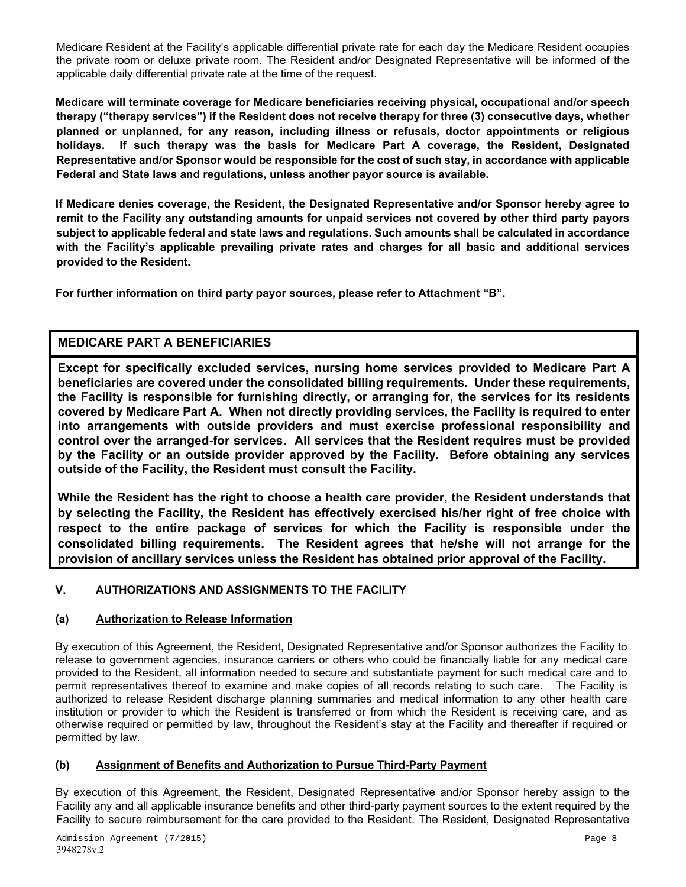Medicare Resident at the Facility's applicable differential private rate for each day the Medicare Resident occupies the private room or deluxe private room. The Resident and/or Designated Representative will be informed of the applicable daily differential private rate at the time of the request.

**Medicare will terminate coverage for Medicare beneficiaries receiving physical, occupational and/or speech therapy ("therapy services") if the Resident does not receive therapy for three (3) consecutive days, whether planned or unplanned, for any reason, including illness or refusals, doctor appointments or religious holidays. If such therapy was the basis for Medicare Part A coverage, the Resident, Designated Representative and/or Sponsor would be responsible for the cost of such stay, in accordance with applicable Federal and State laws and regulations, unless another payor source is available.** 

**If Medicare denies coverage, the Resident, the Designated Representative and/or Sponsor hereby agree to remit to the Facility any outstanding amounts for unpaid services not covered by other third party payors subject to applicable federal and state laws and regulations. Such amounts shall be calculated in accordance with the Facility's applicable prevailing private rates and charges for all basic and additional services provided to the Resident.** 

**For further information on third party payor sources, please refer to Attachment "B".** 

# **MEDICARE PART A BENEFICIARIES**

**Except for specifically excluded services, nursing home services provided to Medicare Part A beneficiaries are covered under the consolidated billing requirements. Under these requirements, the Facility is responsible for furnishing directly, or arranging for, the services for its residents covered by Medicare Part A. When not directly providing services, the Facility is required to enter into arrangements with outside providers and must exercise professional responsibility and control over the arranged-for services. All services that the Resident requires must be provided by the Facility or an outside provider approved by the Facility. Before obtaining any services outside of the Facility, the Resident must consult the Facility.** 

**While the Resident has the right to choose a health care provider, the Resident understands that by selecting the Facility, the Resident has effectively exercised his/her right of free choice with respect to the entire package of services for which the Facility is responsible under the consolidated billing requirements. The Resident agrees that he/she will not arrange for the provision of ancillary services unless the Resident has obtained prior approval of the Facility.** 

# **V. AUTHORIZATIONS AND ASSIGNMENTS TO THE FACILITY**

#### **(a) Authorization to Release Information**

By execution of this Agreement, the Resident, Designated Representative and/or Sponsor authorizes the Facility to release to government agencies, insurance carriers or others who could be financially liable for any medical care provided to the Resident, all information needed to secure and substantiate payment for such medical care and to permit representatives thereof to examine and make copies of all records relating to such care. The Facility is authorized to release Resident discharge planning summaries and medical information to any other health care institution or provider to which the Resident is transferred or from which the Resident is receiving care, and as otherwise required or permitted by law, throughout the Resident's stay at the Facility and thereafter if required or permitted by law.

#### **(b) Assignment of Benefits and Authorization to Pursue Third-Party Payment**

By execution of this Agreement, the Resident, Designated Representative and/or Sponsor hereby assign to the Facility any and all applicable insurance benefits and other third-party payment sources to the extent required by the Facility to secure reimbursement for the care provided to the Resident. The Resident, Designated Representative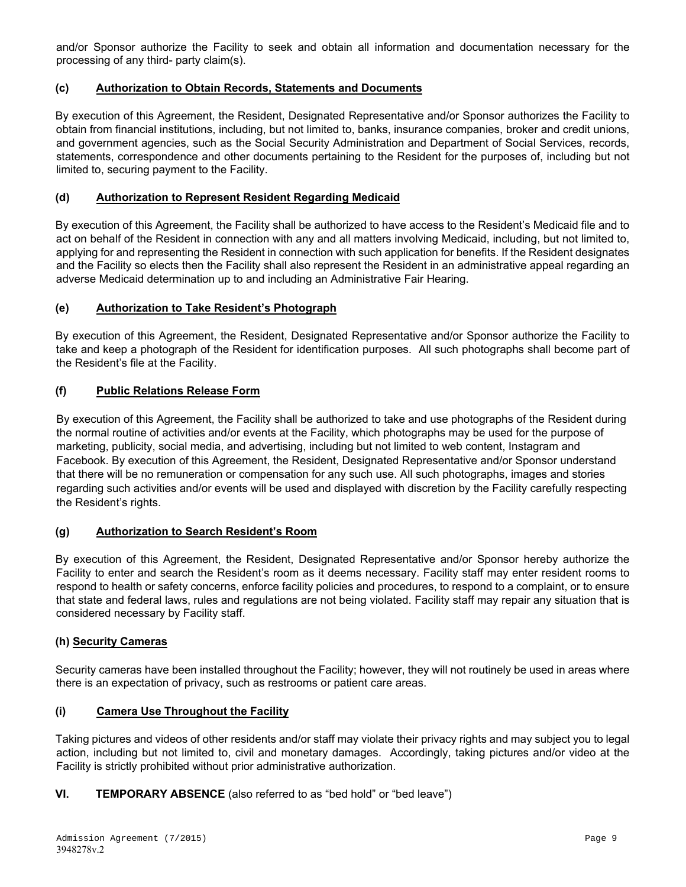and/or Sponsor authorize the Facility to seek and obtain all information and documentation necessary for the processing of any third- party claim(s).

#### **(c) Authorization to Obtain Records, Statements and Documents**

By execution of this Agreement, the Resident, Designated Representative and/or Sponsor authorizes the Facility to obtain from financial institutions, including, but not limited to, banks, insurance companies, broker and credit unions, and government agencies, such as the Social Security Administration and Department of Social Services, records, statements, correspondence and other documents pertaining to the Resident for the purposes of, including but not limited to, securing payment to the Facility.

### **(d) Authorization to Represent Resident Regarding Medicaid**

By execution of this Agreement, the Facility shall be authorized to have access to the Resident's Medicaid file and to act on behalf of the Resident in connection with any and all matters involving Medicaid, including, but not limited to, applying for and representing the Resident in connection with such application for benefits. If the Resident designates and the Facility so elects then the Facility shall also represent the Resident in an administrative appeal regarding an adverse Medicaid determination up to and including an Administrative Fair Hearing.

### **(e) Authorization to Take Resident's Photograph**

By execution of this Agreement, the Resident, Designated Representative and/or Sponsor authorize the Facility to take and keep a photograph of the Resident for identification purposes. All such photographs shall become part of the Resident's file at the Facility.

### **(f) Public Relations Release Form**

By execution of this Agreement, the Facility shall be authorized to take and use photographs of the Resident during the normal routine of activities and/or events at the Facility, which photographs may be used for the purpose of marketing, publicity, social media, and advertising, including but not limited to web content, Instagram and Facebook. By execution of this Agreement, the Resident, Designated Representative and/or Sponsor understand that there will be no remuneration or compensation for any such use. All such photographs, images and stories regarding such activities and/or events will be used and displayed with discretion by the Facility carefully respecting the Resident's rights.

#### **(g) Authorization to Search Resident's Room**

By execution of this Agreement, the Resident, Designated Representative and/or Sponsor hereby authorize the Facility to enter and search the Resident's room as it deems necessary. Facility staff may enter resident rooms to respond to health or safety concerns, enforce facility policies and procedures, to respond to a complaint, or to ensure that state and federal laws, rules and regulations are not being violated. Facility staff may repair any situation that is considered necessary by Facility staff.

#### **(h) Security Cameras**

Security cameras have been installed throughout the Facility; however, they will not routinely be used in areas where there is an expectation of privacy, such as restrooms or patient care areas.

#### **(i) Camera Use Throughout the Facility**

Taking pictures and videos of other residents and/or staff may violate their privacy rights and may subject you to legal action, including but not limited to, civil and monetary damages. Accordingly, taking pictures and/or video at the Facility is strictly prohibited without prior administrative authorization.

#### **VI. TEMPORARY ABSENCE** (also referred to as "bed hold" or "bed leave")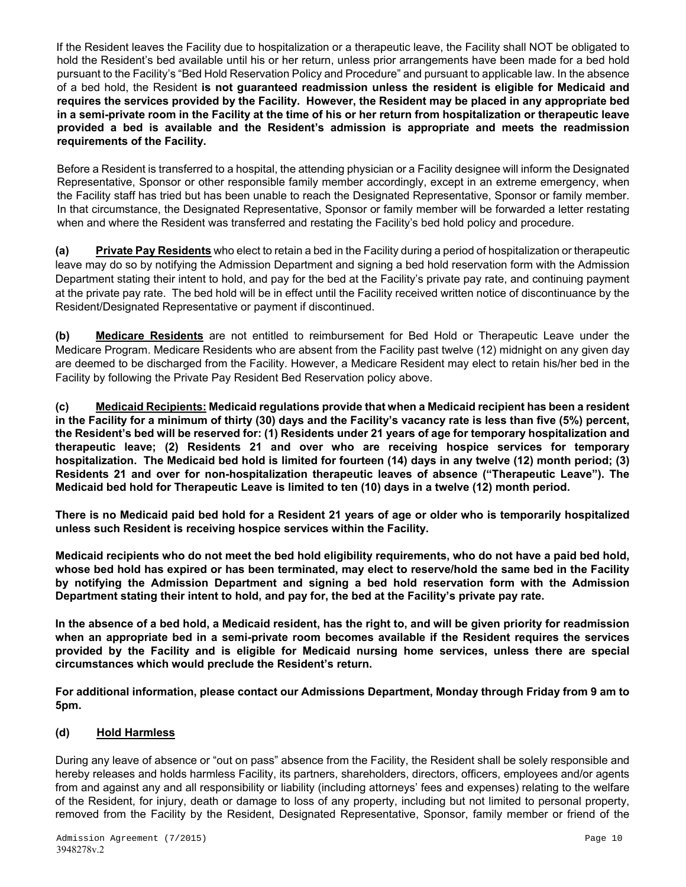If the Resident leaves the Facility due to hospitalization or a therapeutic leave, the Facility shall NOT be obligated to hold the Resident's bed available until his or her return, unless prior arrangements have been made for a bed hold pursuant to the Facility's "Bed Hold Reservation Policy and Procedure" and pursuant to applicable law. In the absence of a bed hold, the Resident **is not guaranteed readmission unless the resident is eligible for Medicaid and requires the services provided by the Facility. However, the Resident may be placed in any appropriate bed in a semi-private room in the Facility at the time of his or her return from hospitalization or therapeutic leave provided a bed is available and the Resident's admission is appropriate and meets the readmission requirements of the Facility.** 

Before a Resident is transferred to a hospital, the attending physician or a Facility designee will inform the Designated Representative, Sponsor or other responsible family member accordingly, except in an extreme emergency, when the Facility staff has tried but has been unable to reach the Designated Representative, Sponsor or family member. In that circumstance, the Designated Representative, Sponsor or family member will be forwarded a letter restating when and where the Resident was transferred and restating the Facility's bed hold policy and procedure.

**(a) Private Pay Residents** who elect to retain a bed in the Facility during a period of hospitalization or therapeutic leave may do so by notifying the Admission Department and signing a bed hold reservation form with the Admission Department stating their intent to hold, and pay for the bed at the Facility's private pay rate, and continuing payment at the private pay rate. The bed hold will be in effect until the Facility received written notice of discontinuance by the Resident/Designated Representative or payment if discontinued.

**(b) Medicare Residents** are not entitled to reimbursement for Bed Hold or Therapeutic Leave under the Medicare Program. Medicare Residents who are absent from the Facility past twelve (12) midnight on any given day are deemed to be discharged from the Facility. However, a Medicare Resident may elect to retain his/her bed in the Facility by following the Private Pay Resident Bed Reservation policy above.

**(c) Medicaid Recipients: Medicaid regulations provide that when a Medicaid recipient has been a resident in the Facility for a minimum of thirty (30) days and the Facility's vacancy rate is less than five (5%) percent, the Resident's bed will be reserved for: (1) Residents under 21 years of age for temporary hospitalization and therapeutic leave; (2) Residents 21 and over who are receiving hospice services for temporary hospitalization. The Medicaid bed hold is limited for fourteen (14) days in any twelve (12) month period; (3) Residents 21 and over for non-hospitalization therapeutic leaves of absence ("Therapeutic Leave"). The Medicaid bed hold for Therapeutic Leave is limited to ten (10) days in a twelve (12) month period.** 

**There is no Medicaid paid bed hold for a Resident 21 years of age or older who is temporarily hospitalized unless such Resident is receiving hospice services within the Facility.** 

**Medicaid recipients who do not meet the bed hold eligibility requirements, who do not have a paid bed hold, whose bed hold has expired or has been terminated, may elect to reserve/hold the same bed in the Facility by notifying the Admission Department and signing a bed hold reservation form with the Admission Department stating their intent to hold, and pay for, the bed at the Facility's private pay rate.** 

**In the absence of a bed hold, a Medicaid resident, has the right to, and will be given priority for readmission when an appropriate bed in a semi-private room becomes available if the Resident requires the services provided by the Facility and is eligible for Medicaid nursing home services, unless there are special circumstances which would preclude the Resident's return.** 

**For additional information, please contact our Admissions Department, Monday through Friday from 9 am to 5pm.** 

# **(d) Hold Harmless**

During any leave of absence or "out on pass" absence from the Facility, the Resident shall be solely responsible and hereby releases and holds harmless Facility, its partners, shareholders, directors, officers, employees and/or agents from and against any and all responsibility or liability (including attorneys' fees and expenses) relating to the welfare of the Resident, for injury, death or damage to loss of any property, including but not limited to personal property, removed from the Facility by the Resident, Designated Representative, Sponsor, family member or friend of the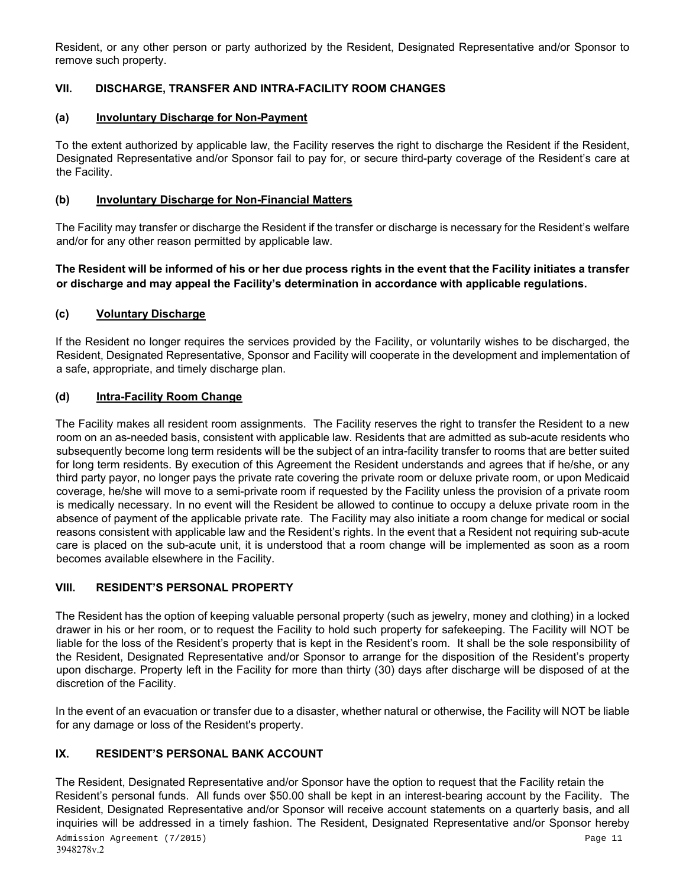Resident, or any other person or party authorized by the Resident, Designated Representative and/or Sponsor to remove such property.

# **VII. DISCHARGE, TRANSFER AND INTRA-FACILITY ROOM CHANGES**

#### **(a) Involuntary Discharge for Non-Payment**

To the extent authorized by applicable law, the Facility reserves the right to discharge the Resident if the Resident, Designated Representative and/or Sponsor fail to pay for, or secure third-party coverage of the Resident's care at the Facility.

#### **(b) Involuntary Discharge for Non-Financial Matters**

The Facility may transfer or discharge the Resident if the transfer or discharge is necessary for the Resident's welfare and/or for any other reason permitted by applicable law.

**The Resident will be informed of his or her due process rights in the event that the Facility initiates a transfer or discharge and may appeal the Facility's determination in accordance with applicable regulations.**

### **(c) Voluntary Discharge**

If the Resident no longer requires the services provided by the Facility, or voluntarily wishes to be discharged, the Resident, Designated Representative, Sponsor and Facility will cooperate in the development and implementation of a safe, appropriate, and timely discharge plan.

### **(d) Intra-Facility Room Change**

The Facility makes all resident room assignments. The Facility reserves the right to transfer the Resident to a new room on an as-needed basis, consistent with applicable law. Residents that are admitted as sub-acute residents who subsequently become long term residents will be the subject of an intra-facility transfer to rooms that are better suited for long term residents. By execution of this Agreement the Resident understands and agrees that if he/she, or any third party payor, no longer pays the private rate covering the private room or deluxe private room, or upon Medicaid coverage, he/she will move to a semi-private room if requested by the Facility unless the provision of a private room is medically necessary. In no event will the Resident be allowed to continue to occupy a deluxe private room in the absence of payment of the applicable private rate. The Facility may also initiate a room change for medical or social reasons consistent with applicable law and the Resident's rights. In the event that a Resident not requiring sub-acute care is placed on the sub-acute unit, it is understood that a room change will be implemented as soon as a room becomes available elsewhere in the Facility.

#### **VIII. RESIDENT'S PERSONAL PROPERTY**

The Resident has the option of keeping valuable personal property (such as jewelry, money and clothing) in a locked drawer in his or her room, or to request the Facility to hold such property for safekeeping. The Facility will NOT be liable for the loss of the Resident's property that is kept in the Resident's room. It shall be the sole responsibility of the Resident, Designated Representative and/or Sponsor to arrange for the disposition of the Resident's property upon discharge. Property left in the Facility for more than thirty (30) days after discharge will be disposed of at the discretion of the Facility.

In the event of an evacuation or transfer due to a disaster, whether natural or otherwise, the Facility will NOT be liable for any damage or loss of the Resident's property.

# **IX. RESIDENT'S PERSONAL BANK ACCOUNT**

The Resident, Designated Representative and/or Sponsor have the option to request that the Facility retain the Resident's personal funds. All funds over \$50.00 shall be kept in an interest-bearing account by the Facility. The Resident, Designated Representative and/or Sponsor will receive account statements on a quarterly basis, and all inquiries will be addressed in a timely fashion. The Resident, Designated Representative and/or Sponsor hereby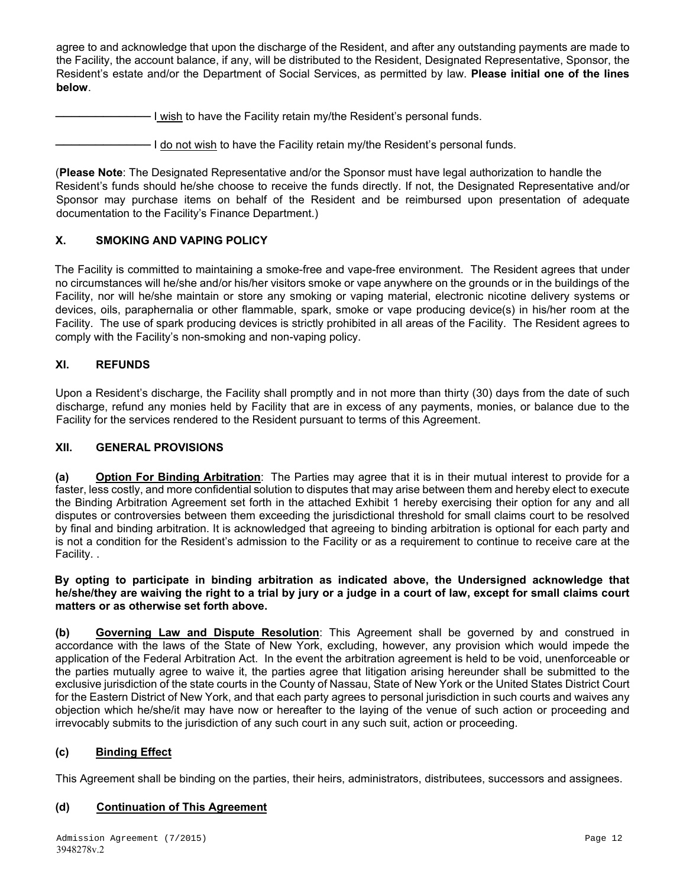agree to and acknowledge that upon the discharge of the Resident, and after any outstanding payments are made to the Facility, the account balance, if any, will be distributed to the Resident, Designated Representative, Sponsor, the Resident's estate and/or the Department of Social Services, as permitted by law. **Please initial one of the lines below**.

I wish to have the Facility retain my/the Resident's personal funds.

──────────── I do not wish to have the Facility retain my/the Resident's personal funds.

(**Please Note**: The Designated Representative and/or the Sponsor must have legal authorization to handle the Resident's funds should he/she choose to receive the funds directly. If not, the Designated Representative and/or Sponsor may purchase items on behalf of the Resident and be reimbursed upon presentation of adequate documentation to the Facility's Finance Department.)

### **X. SMOKING AND VAPING POLICY**

The Facility is committed to maintaining a smoke-free and vape-free environment. The Resident agrees that under no circumstances will he/she and/or his/her visitors smoke or vape anywhere on the grounds or in the buildings of the Facility, nor will he/she maintain or store any smoking or vaping material, electronic nicotine delivery systems or devices, oils, paraphernalia or other flammable, spark, smoke or vape producing device(s) in his/her room at the Facility. The use of spark producing devices is strictly prohibited in all areas of the Facility. The Resident agrees to comply with the Facility's non-smoking and non-vaping policy.

#### **XI. REFUNDS**

Upon a Resident's discharge, the Facility shall promptly and in not more than thirty (30) days from the date of such discharge, refund any monies held by Facility that are in excess of any payments, monies, or balance due to the Facility for the services rendered to the Resident pursuant to terms of this Agreement.

#### **XII. GENERAL PROVISIONS**

**(a) Option For Binding Arbitration**: The Parties may agree that it is in their mutual interest to provide for a faster, less costly, and more confidential solution to disputes that may arise between them and hereby elect to execute the Binding Arbitration Agreement set forth in the attached Exhibit 1 hereby exercising their option for any and all disputes or controversies between them exceeding the jurisdictional threshold for small claims court to be resolved by final and binding arbitration. It is acknowledged that agreeing to binding arbitration is optional for each party and is not a condition for the Resident's admission to the Facility or as a requirement to continue to receive care at the Facility. .

#### **By opting to participate in binding arbitration as indicated above, the Undersigned acknowledge that he/she/they are waiving the right to a trial by jury or a judge in a court of law, except for small claims court matters or as otherwise set forth above.**

**(b) Governing Law and Dispute Resolution**: This Agreement shall be governed by and construed in accordance with the laws of the State of New York, excluding, however, any provision which would impede the application of the Federal Arbitration Act. In the event the arbitration agreement is held to be void, unenforceable or the parties mutually agree to waive it, the parties agree that litigation arising hereunder shall be submitted to the exclusive jurisdiction of the state courts in the County of Nassau, State of New York or the United States District Court for the Eastern District of New York, and that each party agrees to personal jurisdiction in such courts and waives any objection which he/she/it may have now or hereafter to the laying of the venue of such action or proceeding and irrevocably submits to the jurisdiction of any such court in any such suit, action or proceeding.

#### **(c) Binding Effect**

This Agreement shall be binding on the parties, their heirs, administrators, distributees, successors and assignees.

#### **(d) Continuation of This Agreement**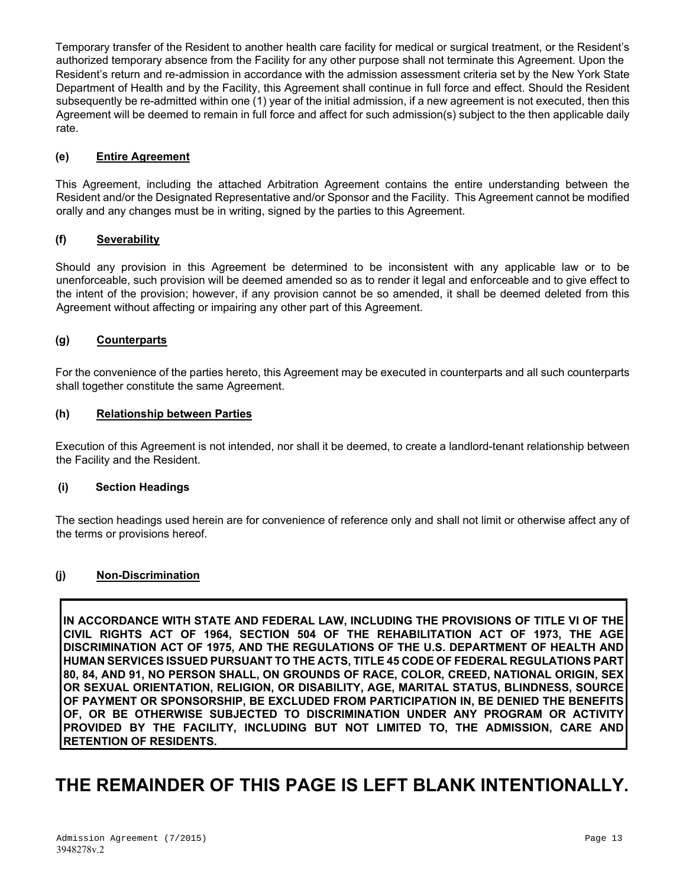Temporary transfer of the Resident to another health care facility for medical or surgical treatment, or the Resident's authorized temporary absence from the Facility for any other purpose shall not terminate this Agreement. Upon the Resident's return and re-admission in accordance with the admission assessment criteria set by the New York State Department of Health and by the Facility, this Agreement shall continue in full force and effect. Should the Resident subsequently be re-admitted within one (1) year of the initial admission, if a new agreement is not executed, then this Agreement will be deemed to remain in full force and affect for such admission(s) subject to the then applicable daily rate.

#### **(e) Entire Agreement**

This Agreement, including the attached Arbitration Agreement contains the entire understanding between the Resident and/or the Designated Representative and/or Sponsor and the Facility. This Agreement cannot be modified orally and any changes must be in writing, signed by the parties to this Agreement.

### **(f) Severability**

Should any provision in this Agreement be determined to be inconsistent with any applicable law or to be unenforceable, such provision will be deemed amended so as to render it legal and enforceable and to give effect to the intent of the provision; however, if any provision cannot be so amended, it shall be deemed deleted from this Agreement without affecting or impairing any other part of this Agreement.

#### **(g) Counterparts**

For the convenience of the parties hereto, this Agreement may be executed in counterparts and all such counterparts shall together constitute the same Agreement.

#### **(h) Relationship between Parties**

Execution of this Agreement is not intended, nor shall it be deemed, to create a landlord-tenant relationship between the Facility and the Resident.

#### **(i) Section Headings**

The section headings used herein are for convenience of reference only and shall not limit or otherwise affect any of the terms or provisions hereof.

#### **(j) Non-Discrimination**

**IN ACCORDANCE WITH STATE AND FEDERAL LAW, INCLUDING THE PROVISIONS OF TITLE VI OF THE CIVIL RIGHTS ACT OF 1964, SECTION 504 OF THE REHABILITATION ACT OF 1973, THE AGE DISCRIMINATION ACT OF 1975, AND THE REGULATIONS OF THE U.S. DEPARTMENT OF HEALTH AND HUMAN SERVICES ISSUED PURSUANT TO THE ACTS, TITLE 45 CODE OF FEDERAL REGULATIONS PART 80, 84, AND 91, NO PERSON SHALL, ON GROUNDS OF RACE, COLOR, CREED, NATIONAL ORIGIN, SEX OR SEXUAL ORIENTATION, RELIGION, OR DISABILITY, AGE, MARITAL STATUS, BLINDNESS, SOURCE OF PAYMENT OR SPONSORSHIP, BE EXCLUDED FROM PARTICIPATION IN, BE DENIED THE BENEFITS OF, OR BE OTHERWISE SUBJECTED TO DISCRIMINATION UNDER ANY PROGRAM OR ACTIVITY PROVIDED BY THE FACILITY, INCLUDING BUT NOT LIMITED TO, THE ADMISSION, CARE AND RETENTION OF RESIDENTS.**

# **THE REMAINDER OF THIS PAGE IS LEFT BLANK INTENTIONALLY.**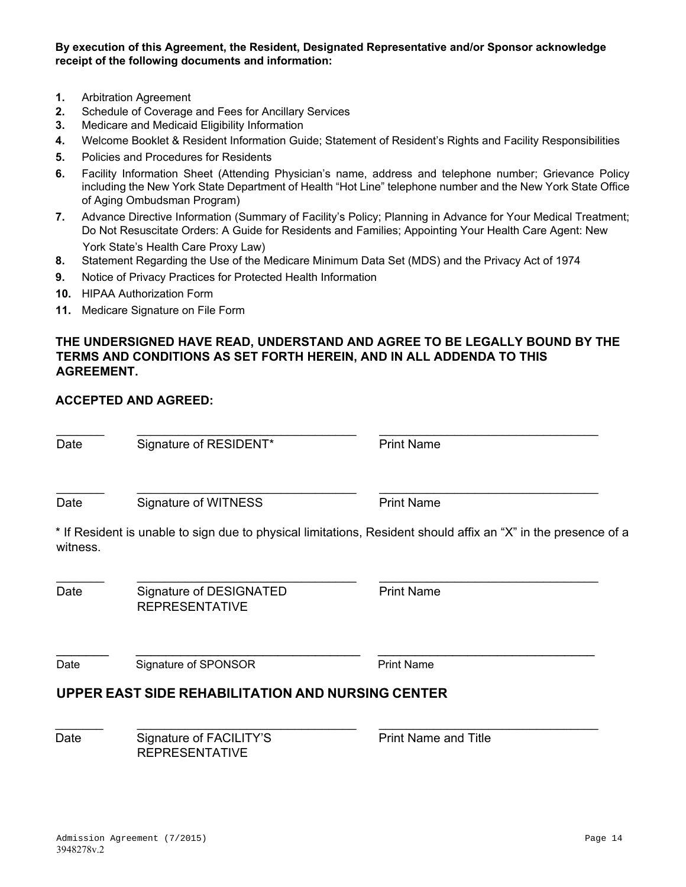**By execution of this Agreement, the Resident, Designated Representative and/or Sponsor acknowledge receipt of the following documents and information:**

- **1.** Arbitration Agreement
- **2.** Schedule of Coverage and Fees for Ancillary Services
- **3.** Medicare and Medicaid Eligibility Information
- **4.** Welcome Booklet & Resident Information Guide; Statement of Resident's Rights and Facility Responsibilities
- **5.** Policies and Procedures for Residents
- **6.** Facility Information Sheet (Attending Physician's name, address and telephone number; Grievance Policy including the New York State Department of Health "Hot Line" telephone number and the New York State Office of Aging Ombudsman Program)
- **7.** Advance Directive Information (Summary of Facility's Policy; Planning in Advance for Your Medical Treatment; Do Not Resuscitate Orders: A Guide for Residents and Families; Appointing Your Health Care Agent: New York State's Health Care Proxy Law)
- **8.** Statement Regarding the Use of the Medicare Minimum Data Set (MDS) and the Privacy Act of 1974
- **9.** Notice of Privacy Practices for Protected Health Information
- **10.** HIPAA Authorization Form
- **11.** Medicare Signature on File Form

### **THE UNDERSIGNED HAVE READ, UNDERSTAND AND AGREE TO BE LEGALLY BOUND BY THE TERMS AND CONDITIONS AS SET FORTH HEREIN, AND IN ALL ADDENDA TO THIS AGREEMENT.**

### **ACCEPTED AND AGREED:**

 $\_$  , and the set of the set of the set of the set of the set of the set of the set of the set of the set of the set of the set of the set of the set of the set of the set of the set of the set of the set of the set of th Date Signature of RESIDENT\* Print Name Date Signature of WITNESS Print Name \* If Resident is unable to sign due to physical limitations, Resident should affix an "X" in the presence of a witness.  $\_$  , and the set of the set of the set of the set of the set of the set of the set of the set of the set of the set of the set of the set of the set of the set of the set of the set of the set of the set of the set of th Date Signature of DESIGNATED REPRESENTATIVE Print Name  $\_$  ,  $\_$  ,  $\_$  ,  $\_$  ,  $\_$  ,  $\_$  ,  $\_$  ,  $\_$  ,  $\_$  ,  $\_$  ,  $\_$  ,  $\_$  ,  $\_$  ,  $\_$  ,  $\_$  ,  $\_$  ,  $\_$  ,  $\_$  ,  $\_$  ,  $\_$  ,  $\_$  ,  $\_$  ,  $\_$  ,  $\_$  ,  $\_$  ,  $\_$  ,  $\_$  ,  $\_$  ,  $\_$  ,  $\_$  ,  $\_$  ,  $\_$  ,  $\_$  ,  $\_$  ,  $\_$  ,  $\_$  ,  $\_$  , Date Signature of SPONSOR Print Name **UPPER EAST SIDE REHABILITATION AND NURSING CENTER**  $\_$  , and the set of the set of the set of the set of the set of the set of the set of the set of the set of the set of the set of the set of the set of the set of the set of the set of the set of the set of the set of th Date Signature of FACILITY'S Print Name and Title REPRESENTATIVE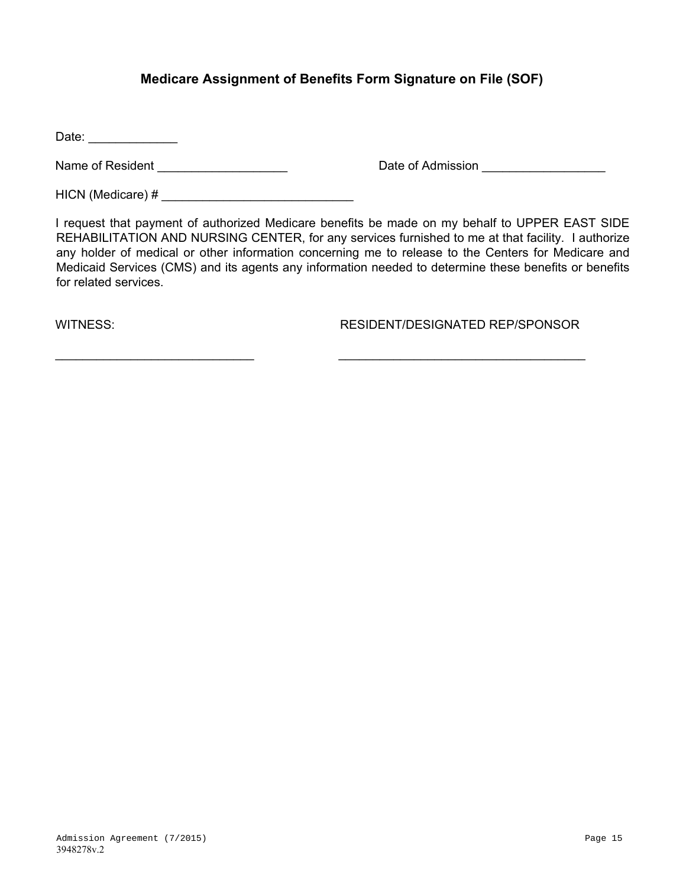# **Medicare Assignment of Benefits Form Signature on File (SOF)**

Date:

Name of Resident \_\_\_\_\_\_\_\_\_\_\_\_\_\_\_\_\_\_\_ Date of Admission \_\_\_\_\_\_\_\_\_\_\_\_\_\_\_\_\_\_

HICN (Medicare) # \_\_\_\_\_\_\_\_\_\_\_\_\_\_\_\_\_\_\_\_\_\_\_\_\_\_\_\_

I request that payment of authorized Medicare benefits be made on my behalf to UPPER EAST SIDE REHABILITATION AND NURSING CENTER, for any services furnished to me at that facility. I authorize any holder of medical or other information concerning me to release to the Centers for Medicare and Medicaid Services (CMS) and its agents any information needed to determine these benefits or benefits for related services.

 $\_$  , and the contribution of  $\_$  , and  $\_$  , and  $\_$  , and  $\_$  , and  $\_$  , and  $\_$  , and  $\_$  , and  $\_$ 

WITNESS: RESIDENT/DESIGNATED REP/SPONSOR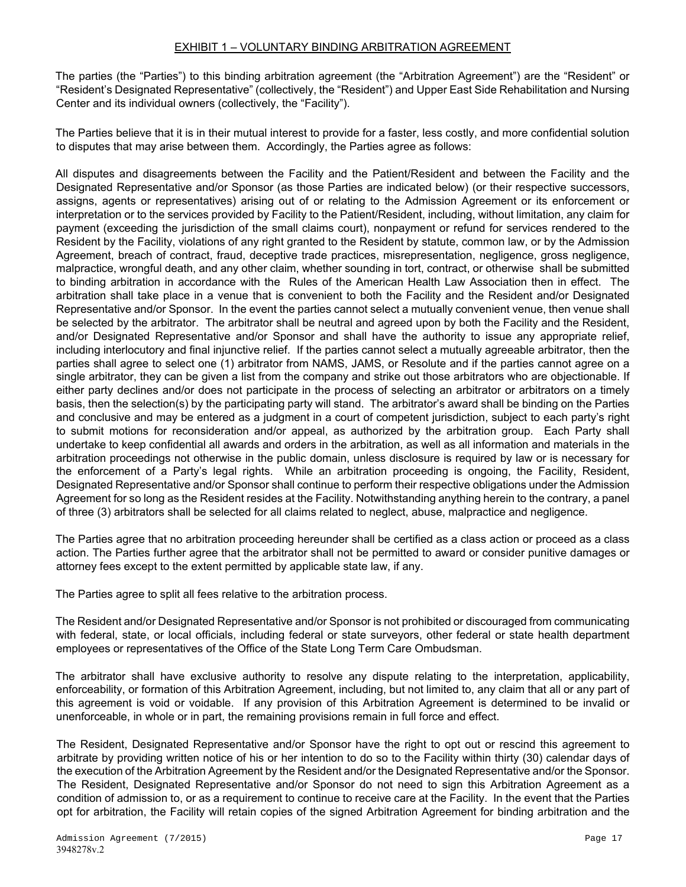The parties (the "Parties") to this binding arbitration agreement (the "Arbitration Agreement") are the "Resident" or "Resident's Designated Representative" (collectively, the "Resident") and Upper East Side Rehabilitation and Nursing Center and its individual owners (collectively, the "Facility").

The Parties believe that it is in their mutual interest to provide for a faster, less costly, and more confidential solution to disputes that may arise between them. Accordingly, the Parties agree as follows:

All disputes and disagreements between the Facility and the Patient/Resident and between the Facility and the Designated Representative and/or Sponsor (as those Parties are indicated below) (or their respective successors, assigns, agents or representatives) arising out of or relating to the Admission Agreement or its enforcement or interpretation or to the services provided by Facility to the Patient/Resident, including, without limitation, any claim for payment (exceeding the jurisdiction of the small claims court), nonpayment or refund for services rendered to the Resident by the Facility, violations of any right granted to the Resident by statute, common law, or by the Admission Agreement, breach of contract, fraud, deceptive trade practices, misrepresentation, negligence, gross negligence, malpractice, wrongful death, and any other claim, whether sounding in tort, contract, or otherwise shall be submitted to binding arbitration in accordance with the Rules of the American Health Law Association then in effect. The arbitration shall take place in a venue that is convenient to both the Facility and the Resident and/or Designated Representative and/or Sponsor. In the event the parties cannot select a mutually convenient venue, then venue shall be selected by the arbitrator. The arbitrator shall be neutral and agreed upon by both the Facility and the Resident, and/or Designated Representative and/or Sponsor and shall have the authority to issue any appropriate relief, including interlocutory and final injunctive relief. If the parties cannot select a mutually agreeable arbitrator, then the parties shall agree to select one (1) arbitrator from NAMS, JAMS, or Resolute and if the parties cannot agree on a single arbitrator, they can be given a list from the company and strike out those arbitrators who are objectionable. If either party declines and/or does not participate in the process of selecting an arbitrator or arbitrators on a timely basis, then the selection(s) by the participating party will stand. The arbitrator's award shall be binding on the Parties and conclusive and may be entered as a judgment in a court of competent jurisdiction, subject to each party's right to submit motions for reconsideration and/or appeal, as authorized by the arbitration group. Each Party shall undertake to keep confidential all awards and orders in the arbitration, as well as all information and materials in the arbitration proceedings not otherwise in the public domain, unless disclosure is required by law or is necessary for the enforcement of a Party's legal rights. While an arbitration proceeding is ongoing, the Facility, Resident, Designated Representative and/or Sponsor shall continue to perform their respective obligations under the Admission Agreement for so long as the Resident resides at the Facility. Notwithstanding anything herein to the contrary, a panel of three (3) arbitrators shall be selected for all claims related to neglect, abuse, malpractice and negligence.

The Parties agree that no arbitration proceeding hereunder shall be certified as a class action or proceed as a class action. The Parties further agree that the arbitrator shall not be permitted to award or consider punitive damages or attorney fees except to the extent permitted by applicable state law, if any.

The Parties agree to split all fees relative to the arbitration process.

The Resident and/or Designated Representative and/or Sponsor is not prohibited or discouraged from communicating with federal, state, or local officials, including federal or state surveyors, other federal or state health department employees or representatives of the Office of the State Long Term Care Ombudsman.

The arbitrator shall have exclusive authority to resolve any dispute relating to the interpretation, applicability, enforceability, or formation of this Arbitration Agreement, including, but not limited to, any claim that all or any part of this agreement is void or voidable. If any provision of this Arbitration Agreement is determined to be invalid or unenforceable, in whole or in part, the remaining provisions remain in full force and effect.

The Resident, Designated Representative and/or Sponsor have the right to opt out or rescind this agreement to arbitrate by providing written notice of his or her intention to do so to the Facility within thirty (30) calendar days of the execution of the Arbitration Agreement by the Resident and/or the Designated Representative and/or the Sponsor. The Resident, Designated Representative and/or Sponsor do not need to sign this Arbitration Agreement as a condition of admission to, or as a requirement to continue to receive care at the Facility. In the event that the Parties opt for arbitration, the Facility will retain copies of the signed Arbitration Agreement for binding arbitration and the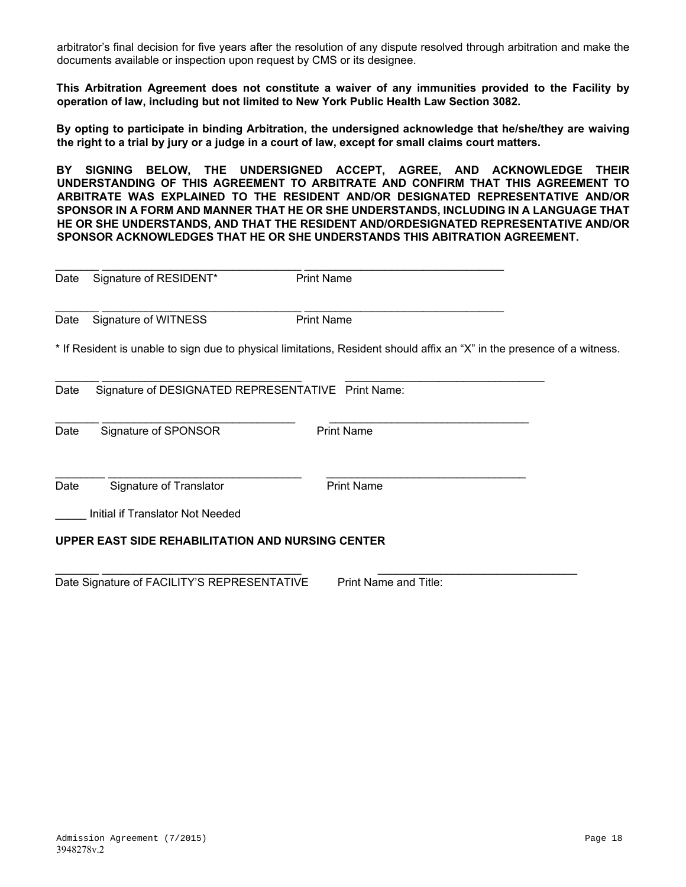arbitrator's final decision for five years after the resolution of any dispute resolved through arbitration and make the documents available or inspection upon request by CMS or its designee.

**This Arbitration Agreement does not constitute a waiver of any immunities provided to the Facility by operation of law, including but not limited to New York Public Health Law Section 3082.** 

**By opting to participate in binding Arbitration, the undersigned acknowledge that he/she/they are waiving the right to a trial by jury or a judge in a court of law, except for small claims court matters.**

**BY SIGNING BELOW, THE UNDERSIGNED ACCEPT, AGREE, AND ACKNOWLEDGE THEIR UNDERSTANDING OF THIS AGREEMENT TO ARBITRATE AND CONFIRM THAT THIS AGREEMENT TO ARBITRATE WAS EXPLAINED TO THE RESIDENT AND/OR DESIGNATED REPRESENTATIVE AND/OR SPONSOR IN A FORM AND MANNER THAT HE OR SHE UNDERSTANDS, INCLUDING IN A LANGUAGE THAT HE OR SHE UNDERSTANDS, AND THAT THE RESIDENT AND/ORDESIGNATED REPRESENTATIVE AND/OR SPONSOR ACKNOWLEDGES THAT HE OR SHE UNDERSTANDS THIS ABITRATION AGREEMENT.** 

| Date                                              | Signature of RESIDENT*                                                                                                  | <b>Print Name</b> |  |  |
|---------------------------------------------------|-------------------------------------------------------------------------------------------------------------------------|-------------------|--|--|
| Date                                              | Signature of WITNESS                                                                                                    | <b>Print Name</b> |  |  |
|                                                   | * If Resident is unable to sign due to physical limitations, Resident should affix an "X" in the presence of a witness. |                   |  |  |
| Date                                              | Signature of DESIGNATED REPRESENTATIVE Print Name:                                                                      |                   |  |  |
| Date                                              | Signature of SPONSOR                                                                                                    | <b>Print Name</b> |  |  |
| Date                                              | Signature of Translator                                                                                                 | <b>Print Name</b> |  |  |
|                                                   | Initial if Translator Not Needed                                                                                        |                   |  |  |
| UPPER EAST SIDE REHABILITATION AND NURSING CENTER |                                                                                                                         |                   |  |  |
|                                                   |                                                                                                                         |                   |  |  |

Date Signature of FACILITY'S REPRESENTATIVE Print Name and Title: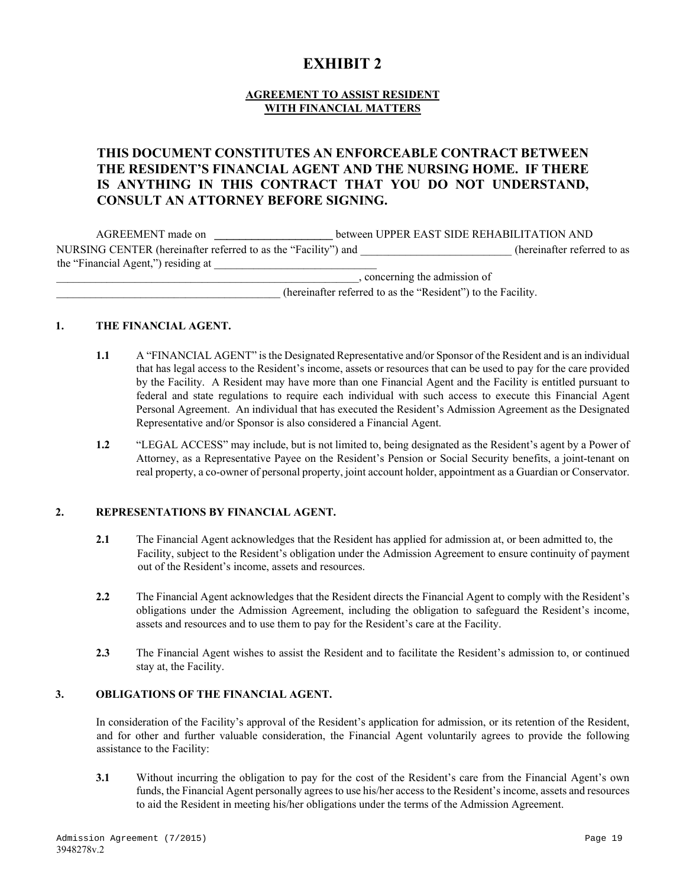# **EXHIBIT 2**

### **AGREEMENT TO ASSIST RESIDENT WITH FINANCIAL MATTERS**

# **THIS DOCUMENT CONSTITUTES AN ENFORCEABLE CONTRACT BETWEEN THE RESIDENT'S FINANCIAL AGENT AND THE NURSING HOME. IF THERE IS ANYTHING IN THIS CONTRACT THAT YOU DO NOT UNDERSTAND, CONSULT AN ATTORNEY BEFORE SIGNING.**

| AGREEMENT made on                                              |  | between UPPER EAST SIDE REHABILITATION AND |                             |
|----------------------------------------------------------------|--|--------------------------------------------|-----------------------------|
| NURSING CENTER (hereinafter referred to as the "Facility") and |  |                                            | (hereinafter referred to as |
| the "Financial Agent," residing at                             |  |                                            |                             |
|                                                                |  | , concerning the admission of              |                             |

\_\_\_\_\_\_\_\_\_\_\_\_\_\_\_\_\_\_\_\_\_\_\_\_\_\_\_\_\_\_\_\_\_\_\_\_\_\_\_\_ (hereinafter referred to as the "Resident") to the Facility.

#### **1. THE FINANCIAL AGENT.**

- **1.1** A "FINANCIAL AGENT" is the Designated Representative and/or Sponsor of the Resident and is an individual that has legal access to the Resident's income, assets or resources that can be used to pay for the care provided by the Facility. A Resident may have more than one Financial Agent and the Facility is entitled pursuant to federal and state regulations to require each individual with such access to execute this Financial Agent Personal Agreement. An individual that has executed the Resident's Admission Agreement as the Designated Representative and/or Sponsor is also considered a Financial Agent.
- **1.2** "LEGAL ACCESS" may include, but is not limited to, being designated as the Resident's agent by a Power of Attorney, as a Representative Payee on the Resident's Pension or Social Security benefits, a joint-tenant on real property, a co-owner of personal property, joint account holder, appointment as a Guardian or Conservator.

#### **2. REPRESENTATIONS BY FINANCIAL AGENT.**

- **2.1** The Financial Agent acknowledges that the Resident has applied for admission at, or been admitted to, the Facility, subject to the Resident's obligation under the Admission Agreement to ensure continuity of payment out of the Resident's income, assets and resources.
- **2.2** The Financial Agent acknowledges that the Resident directs the Financial Agent to comply with the Resident's obligations under the Admission Agreement, including the obligation to safeguard the Resident's income, assets and resources and to use them to pay for the Resident's care at the Facility.
- **2.3** The Financial Agent wishes to assist the Resident and to facilitate the Resident's admission to, or continued stay at, the Facility.

#### **3. OBLIGATIONS OF THE FINANCIAL AGENT.**

In consideration of the Facility's approval of the Resident's application for admission, or its retention of the Resident, and for other and further valuable consideration, the Financial Agent voluntarily agrees to provide the following assistance to the Facility:

**3.1** Without incurring the obligation to pay for the cost of the Resident's care from the Financial Agent's own funds, the Financial Agent personally agrees to use his/her access to the Resident's income, assets and resources to aid the Resident in meeting his/her obligations under the terms of the Admission Agreement.